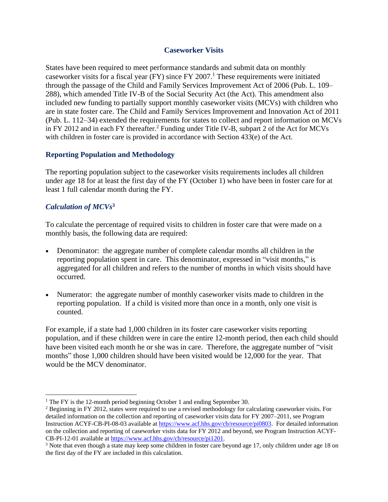#### **Caseworker Visits**

States have been required to meet performance standards and submit data on monthly caseworker visits for a fiscal year (FY) since FY 2007. <sup>1</sup> These requirements were initiated through the passage of the Child and Family Services Improvement Act of 2006 (Pub. L. 109– 288), which amended Title IV-B of the Social Security Act (the Act). This amendment also included new funding to partially support monthly caseworker visits (MCVs) with children who are in state foster care. The Child and Family Services Improvement and Innovation Act of 2011 (Pub. L. 112–34) extended the requirements for states to collect and report information on MCVs in FY 2012 and in each FY thereafter.<sup>2</sup> Funding under Title IV-B, subpart 2 of the Act for MCVs with children in foster care is provided in accordance with Section 433(e) of the Act.

### **Reporting Population and Methodology**

The reporting population subject to the caseworker visits requirements includes all children under age 18 for at least the first day of the FY (October 1) who have been in foster care for at least 1 full calendar month during the FY.

# *Calculation of MCVs* **3**

To calculate the percentage of required visits to children in foster care that were made on a monthly basis, the following data are required:

- Denominator: the aggregate number of complete calendar months all children in the reporting population spent in care. This denominator, expressed in "visit months," is aggregated for all children and refers to the number of months in which visits should have occurred.
- Numerator: the aggregate number of monthly caseworker visits made to children in the reporting population. If a child is visited more than once in a month, only one visit is counted.

For example, if a state had 1,000 children in its foster care caseworker visits reporting population, and if these children were in care the entire 12-month period, then each child should have been visited each month he or she was in care. Therefore, the aggregate number of "visit months" those 1,000 children should have been visited would be 12,000 for the year. That would be the MCV denominator.

<sup>&</sup>lt;sup>1</sup> The FY is the 12-month period beginning October 1 and ending September 30.

<sup>&</sup>lt;sup>2</sup> Beginning in FY 2012, states were required to use a revised methodology for calculating caseworker visits. For detailed information on the collection and reporting of caseworker visits data for FY 2007–2011, see Program Instruction ACYF-CB-PI-08-03 available at [https://www.acf.hhs.gov/cb/resource/pi0803.](https://www.acf.hhs.gov/cb/resource/pi0803) For detailed information on the collection and reporting of caseworker visits data for FY 2012 and beyond, see Program Instruction ACYF-CB-PI-12-01 available at [https://www.acf.hhs.gov/cb/resource/pi1201.](https://www.acf.hhs.gov/cb/resource/pi1201)

<sup>&</sup>lt;sup>3</sup> Note that even though a state may keep some children in foster care beyond age 17, only children under age 18 on the first day of the FY are included in this calculation.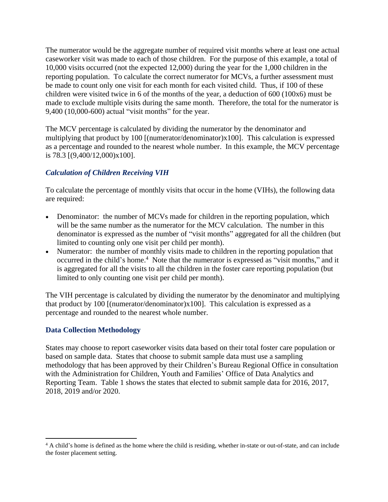The numerator would be the aggregate number of required visit months where at least one actual caseworker visit was made to each of those children. For the purpose of this example, a total of 10,000 visits occurred (not the expected 12,000) during the year for the 1,000 children in the reporting population. To calculate the correct numerator for MCVs, a further assessment must be made to count only one visit for each month for each visited child. Thus, if 100 of these children were visited twice in 6 of the months of the year, a deduction of 600 (100x6) must be made to exclude multiple visits during the same month. Therefore, the total for the numerator is 9,400 (10,000-600) actual "visit months" for the year.

The MCV percentage is calculated by dividing the numerator by the denominator and multiplying that product by 100 [(numerator/denominator)x100]. This calculation is expressed as a percentage and rounded to the nearest whole number. In this example, the MCV percentage is 78.3 [(9,400/12,000)x100].

# *Calculation of Children Receiving VIH*

To calculate the percentage of monthly visits that occur in the home (VIHs), the following data are required:

- Denominator: the number of MCVs made for children in the reporting population, which will be the same number as the numerator for the MCV calculation. The number in this denominator is expressed as the number of "visit months" aggregated for all the children (but limited to counting only one visit per child per month).
- Numerator: the number of monthly visits made to children in the reporting population that occurred in the child's home.<sup>4</sup> Note that the numerator is expressed as "visit months," and it is aggregated for all the visits to all the children in the foster care reporting population (but limited to only counting one visit per child per month).

The VIH percentage is calculated by dividing the numerator by the denominator and multiplying that product by 100 [(numerator/denominator)x100]. This calculation is expressed as a percentage and rounded to the nearest whole number.

# **Data Collection Methodology**

States may choose to report caseworker visits data based on their total foster care population or based on sample data. States that choose to submit sample data must use a sampling methodology that has been approved by their Children's Bureau Regional Office in consultation with the Administration for Children, Youth and Families' Office of Data Analytics and Reporting Team. Table 1 shows the states that elected to submit sample data for 2016, 2017, 2018, 2019 and/or 2020.

<sup>&</sup>lt;sup>4</sup> A child's home is defined as the home where the child is residing, whether in-state or out-of-state, and can include the foster placement setting.